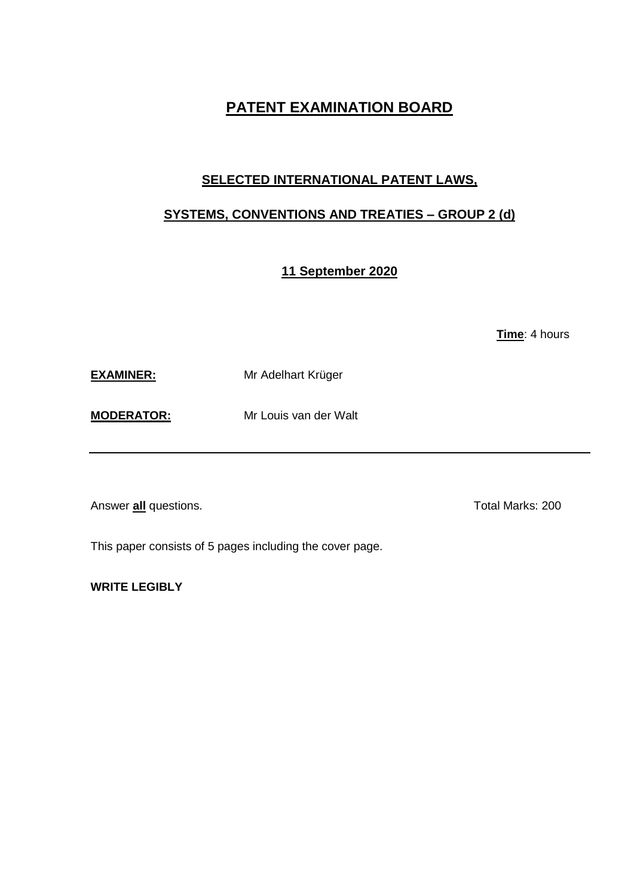# **PATENT EXAMINATION BOARD**

## **SELECTED INTERNATIONAL PATENT LAWS,**

## **SYSTEMS, CONVENTIONS AND TREATIES – GROUP 2 (d)**

### **11 September 2020**

**Time**: 4 hours

**EXAMINER:** Mr Adelhart Krüger

**MODERATOR:** Mr Louis van der Walt

Answer **all** questions. Total Marks: 200

This paper consists of 5 pages including the cover page.

**WRITE LEGIBLY**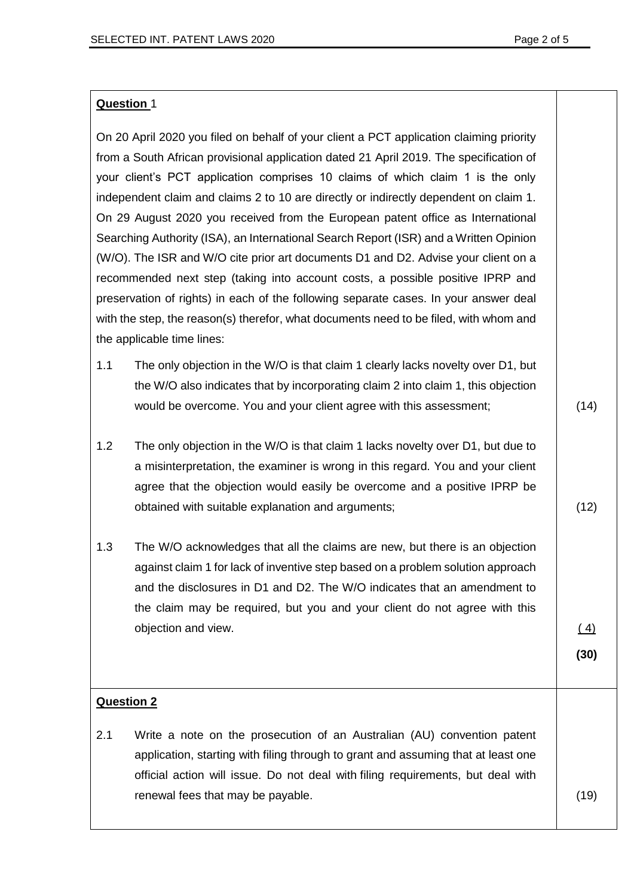#### **Question** 1

On 20 April 2020 you filed on behalf of your client a PCT application claiming priority from a South African provisional application dated 21 April 2019. The specification of your client's PCT application comprises 10 claims of which claim 1 is the only independent claim and claims 2 to 10 are directly or indirectly dependent on claim 1. On 29 August 2020 you received from the European patent office as International Searching Authority (ISA), an International Search Report (ISR) and a Written Opinion (W/O). The ISR and W/O cite prior art documents D1 and D2. Advise your client on a recommended next step (taking into account costs, a possible positive IPRP and preservation of rights) in each of the following separate cases. In your answer deal with the step, the reason(s) therefor, what documents need to be filed, with whom and the applicable time lines:

- 1.1 The only objection in the W/O is that claim 1 clearly lacks novelty over D1, but the W/O also indicates that by incorporating claim 2 into claim 1, this objection would be overcome. You and your client agree with this assessment;
- 1.2 The only objection in the W/O is that claim 1 lacks novelty over D1, but due to a misinterpretation, the examiner is wrong in this regard. You and your client agree that the objection would easily be overcome and a positive IPRP be obtained with suitable explanation and arguments;
- 1.3 The W/O acknowledges that all the claims are new, but there is an objection against claim 1 for lack of inventive step based on a problem solution approach and the disclosures in D1 and D2. The W/O indicates that an amendment to the claim may be required, but you and your client do not agree with this objection and view.

 $(4)$ 

**(30)**

#### **Question 2**

2.1 Write a note on the prosecution of an Australian (AU) convention patent application, starting with filing through to grant and assuming that at least one official action will issue. Do not deal with filing requirements, but deal with renewal fees that may be payable. (19)  $(19)$ 

(14)

(12)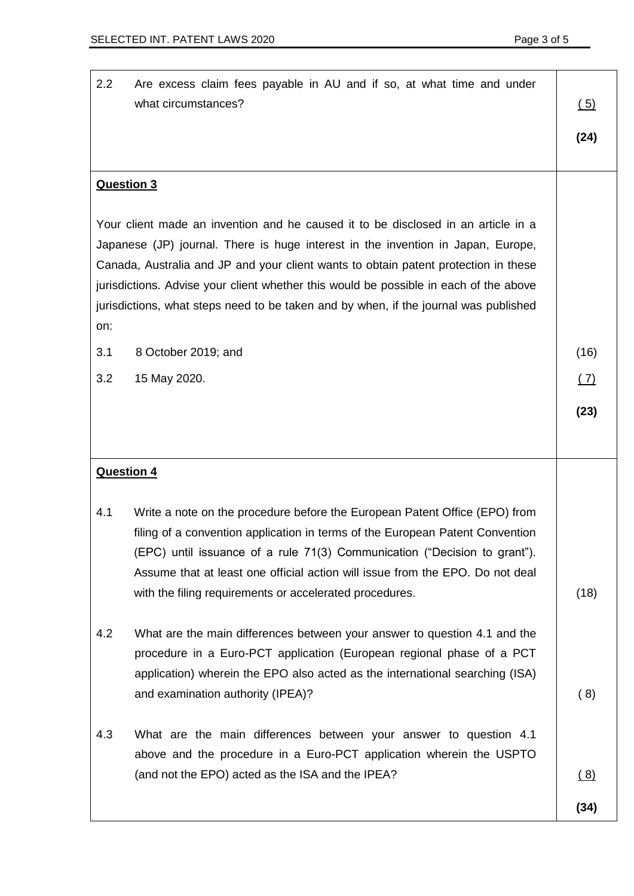| 2.2<br>Are excess claim fees payable in AU and if so, at what time and under<br>what circumstances?                                                                                                                                                                                                                                                                                                                                                  | (5)  |
|------------------------------------------------------------------------------------------------------------------------------------------------------------------------------------------------------------------------------------------------------------------------------------------------------------------------------------------------------------------------------------------------------------------------------------------------------|------|
|                                                                                                                                                                                                                                                                                                                                                                                                                                                      | (24) |
| <b>Question 3</b>                                                                                                                                                                                                                                                                                                                                                                                                                                    |      |
| Your client made an invention and he caused it to be disclosed in an article in a<br>Japanese (JP) journal. There is huge interest in the invention in Japan, Europe,<br>Canada, Australia and JP and your client wants to obtain patent protection in these<br>jurisdictions. Advise your client whether this would be possible in each of the above<br>jurisdictions, what steps need to be taken and by when, if the journal was published<br>on: |      |
| 8 October 2019; and<br>3.1                                                                                                                                                                                                                                                                                                                                                                                                                           | (16) |
| 3.2<br>15 May 2020.                                                                                                                                                                                                                                                                                                                                                                                                                                  | (7)  |
|                                                                                                                                                                                                                                                                                                                                                                                                                                                      | (23) |
| <b>Question 4</b>                                                                                                                                                                                                                                                                                                                                                                                                                                    |      |
| Write a note on the procedure before the European Patent Office (EPO) from<br>4.1<br>filing of a convention application in terms of the European Patent Convention<br>(EPC) until issuance of a rule 71(3) Communication ("Decision to grant").<br>Assume that at least one official action will issue from the EPO. Do not deal<br>with the filing requirements or accelerated procedures.                                                          | (18) |
| What are the main differences between your answer to question 4.1 and the<br>4.2<br>procedure in a Euro-PCT application (European regional phase of a PCT<br>application) wherein the EPO also acted as the international searching (ISA)<br>and examination authority (IPEA)?                                                                                                                                                                       | (8)  |
| 4.3<br>What are the main differences between your answer to question 4.1<br>above and the procedure in a Euro-PCT application wherein the USPTO<br>(and not the EPO) acted as the ISA and the IPEA?                                                                                                                                                                                                                                                  | (8)  |
|                                                                                                                                                                                                                                                                                                                                                                                                                                                      | (34) |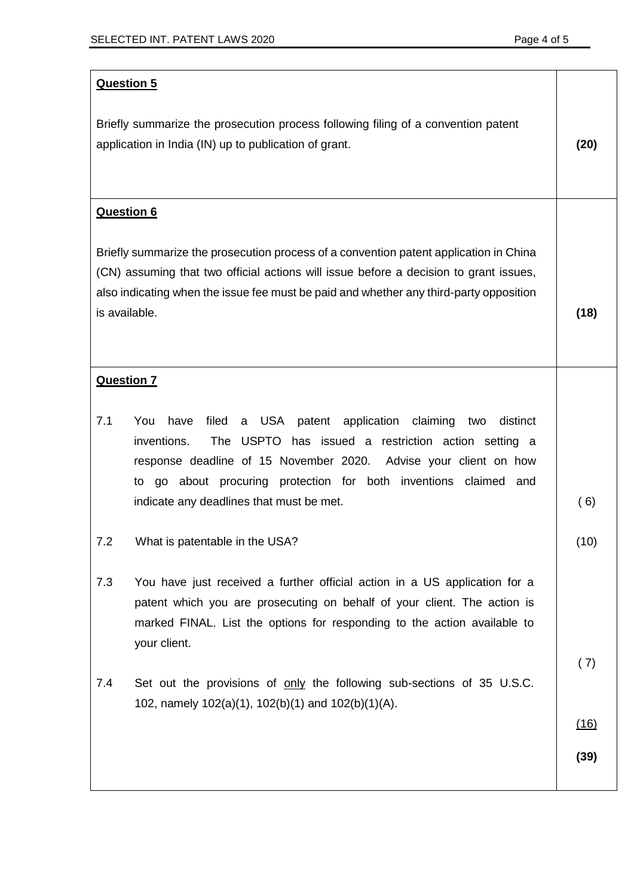| <b>Question 5</b>                                                                                                                                                                                                                                                                                                                                      |             |
|--------------------------------------------------------------------------------------------------------------------------------------------------------------------------------------------------------------------------------------------------------------------------------------------------------------------------------------------------------|-------------|
| Briefly summarize the prosecution process following filing of a convention patent<br>application in India (IN) up to publication of grant.                                                                                                                                                                                                             | (20)        |
| <b>Question 6</b>                                                                                                                                                                                                                                                                                                                                      |             |
| Briefly summarize the prosecution process of a convention patent application in China<br>(CN) assuming that two official actions will issue before a decision to grant issues,<br>also indicating when the issue fee must be paid and whether any third-party opposition<br>is available.                                                              | (18)        |
| <b>Question 7</b>                                                                                                                                                                                                                                                                                                                                      |             |
| 7.1<br>You<br>have<br>filed<br>a USA patent application<br>claiming<br>distinct<br>two<br>inventions.<br>The USPTO has issued a restriction action setting a<br>response deadline of 15 November 2020.<br>Advise your client on how<br>to go about procuring protection for both inventions claimed<br>and<br>indicate any deadlines that must be met. | (6)         |
| 7.2<br>What is patentable in the USA?                                                                                                                                                                                                                                                                                                                  | (10)        |
| 7.3<br>You have just received a further official action in a US application for a<br>patent which you are prosecuting on behalf of your client. The action is<br>marked FINAL. List the options for responding to the action available to<br>your client.                                                                                              |             |
| Set out the provisions of only the following sub-sections of 35 U.S.C.<br>7.4<br>102, namely $102(a)(1)$ , $102(b)(1)$ and $102(b)(1)(A)$ .                                                                                                                                                                                                            | (7)<br>(16) |
|                                                                                                                                                                                                                                                                                                                                                        | (39)        |